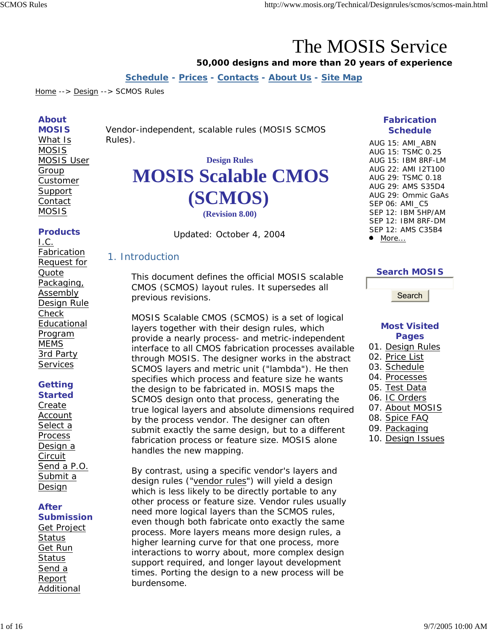# The MOSIS Service

#### **50,000 designs and more than 20 years of experience**

**Schedule - Prices - Contacts - About Us - Site Map**

Home --> Design --> SCMOS Rules

#### **About**

**MOSIS**  What Is MOSIS MOSIS User **Group** Customer **Support Contact** MOSIS

## *Vendor-independent, scalable rules (MOSIS SCMOS Rules).*

## **Design Rules MOSIS Scalable CMOS (SCMOS) (Revision 8.00)**

#### **Products**

I.C. Fabrication Request for Quote Packaging, Assembly Design Rule Check Educational Program MEMS 3rd Party **Services** 

#### **Getting Started**

Create Account Select a Process Design a Circuit Send a P.O. Submit a Design

#### **After Submission**  Get Project

**Status** Get Run **Status** Send a Report Additional Updated: October 4, 2004

#### 1. Introduction

This document defines the official MOSIS scalable CMOS (SCMOS) layout rules. It supersedes all previous revisions.

MOSIS Scalable CMOS (SCMOS) is a set of logical layers together with their design rules, which provide a nearly process- and metric-independent interface to all CMOS fabrication processes available through MOSIS. The designer works in the abstract SCMOS layers and metric unit ("lambda"). He then specifies which process and feature size he wants the design to be fabricated in. MOSIS maps the SCMOS design onto that process, generating the true logical layers and absolute dimensions required by the process vendor. The designer can often submit exactly the same design, but to a different fabrication process or feature size. MOSIS alone handles the new mapping.

By contrast, using a specific vendor's layers and design rules ("vendor rules") will yield a design which is less likely to be directly portable to any other process or feature size. Vendor rules usually need more logical layers than the SCMOS rules, even though both fabricate onto exactly the same process. More layers means more design rules, a higher learning curve for that one process, more interactions to worry about, more complex design support required, and longer layout development times. Porting the design to a new process will be burdensome.

#### **Fabrication Schedule**

AUG 15: AMI\_ABN AUG 15: TSMC 0.25 AUG 15: IBM 8RF-LM AUG 22: AMI I2T100 AUG 29: TSMC 0.18 AUG 29: AMS S35D4 AUG 29: Ommic GaAs SEP 06: AMI\_C5 SEP 12: IBM 5HP/AM SEP 12: IBM 8RF-DM SEP 12: AMS C35B4  $•$  More...

#### **Search MOSIS**

Search

#### **Most Visited Pages**

- 01. Design Rules
- 02. Price List
- 03. Schedule
- 04. Processes
- 05. Test Data
- 06. IC Orders
- 07. About MOSIS
- 08. Spice FAQ
- 09. Packaging
- 10. Design Issues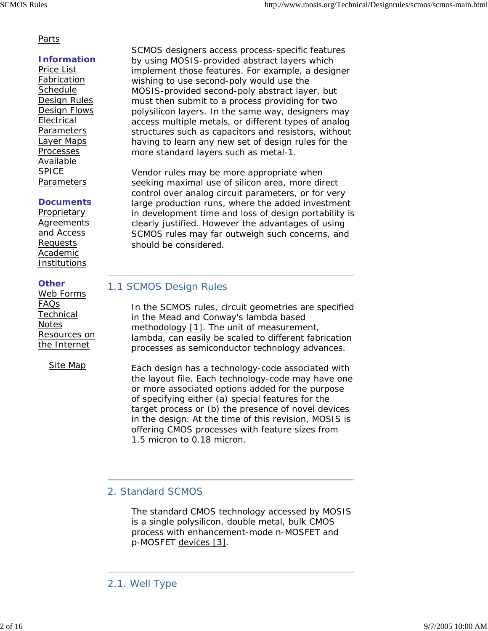#### Parts

#### **Information**

Price List Fabrication **Schedule** Design Rules Design Flows Electrical **Parameters** Layer Maps Processes Available SPICE Parameters

#### **Documents**

**Proprietary Agreements** and Access Requests Academic Institutions

#### **Other**

Web Forms FAQs **Technical Notes** Resources on the Internet

Site Map

SCMOS designers access process-specific features by using MOSIS-provided abstract layers which implement those features. For example, a designer wishing to use second-poly would use the MOSIS-provided second-poly abstract layer, but must then submit to a process providing for two polysilicon layers. In the same way, designers may access multiple metals, or different types of analog structures such as capacitors and resistors, without having to learn any new set of design rules for the more standard layers such as metal-1.

Vendor rules may be more appropriate when seeking maximal use of silicon area, more direct control over analog circuit parameters, or for very large production runs, where the added investment in development time and loss of design portability is clearly justified. However the advantages of using SCMOS rules may far outweigh such concerns, and should be considered.

#### 1.1 SCMOS Design Rules

In the SCMOS rules, circuit geometries are specified in the Mead and Conway's lambda based methodology [1]. The unit of measurement, lambda, can easily be scaled to different fabrication processes as semiconductor technology advances.

Each design has a technology-code associated with the layout file. Each technology-code may have one or more associated options added for the purpose of specifying either (a) special features for the target process or (b) the presence of novel devices in the design. At the time of this revision, MOSIS is offering CMOS processes with feature sizes from 1.5 micron to 0.18 micron.

#### 2. Standard SCMOS

The standard CMOS technology accessed by MOSIS is a single polysilicon, double metal, bulk CMOS process with enhancement-mode n-MOSFET and p-MOSFET devices [3].

<sup>2.1.</sup> Well Type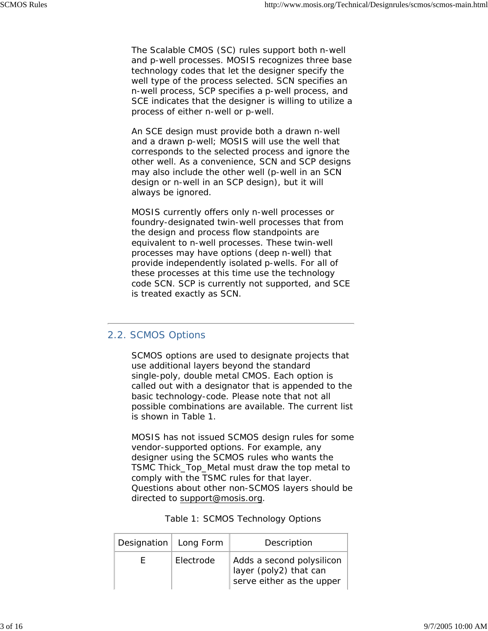The Scalable CMOS (SC) rules support both *n*-well and *p*-well processes. MOSIS recognizes three base technology codes that let the designer specify the well type of the process selected. SCN specifies an *n*-well process, SCP specifies a *p*-well process, and SCE indicates that the designer is willing to utilize a process of either *n*-well or *p*-well.

An SCE design must provide both a drawn *n*-well and a drawn *p*-well; MOSIS will use the well that corresponds to the selected process and ignore the other well. As a convenience, SCN and SCP designs may also include the other well (*p*-well in an SCN design or *n*-well in an SCP design), but it will always be ignored.

MOSIS currently offers only *n*-well processes or foundry-designated twin-well processes that from the design and process flow standpoints are equivalent to *n*-well processes. These twin-well processes may have options (deep *n*-well) that provide independently isolated *p*-wells. For all of these processes at this time use the technology code SCN. SCP is currently not supported, and SCE is treated exactly as SCN.

#### 2.2. SCMOS Options

SCMOS options are used to designate projects that use additional layers beyond the standard single-poly, double metal CMOS. Each option is called out with a designator that is appended to the basic technology-code. Please note that not all possible combinations are available. The current list is shown in Table 1.

MOSIS has not issued SCMOS design rules for some vendor-supported options. For example, any designer using the SCMOS rules who wants the TSMC Thick\_Top\_Metal must draw the top metal to comply with the TSMC rules for that layer. Questions about other non-SCMOS layers should be directed to support@mosis.org.

| nation $ $ Long Form $ $ | Description |
|--------------------------|-------------|

Table 1: SCMOS Technology Options

| Designation   Long Form |           | Description                                                                      |
|-------------------------|-----------|----------------------------------------------------------------------------------|
| н.                      | Electrode | Adds a second polysilicon<br>layer (poly2) that can<br>serve either as the upper |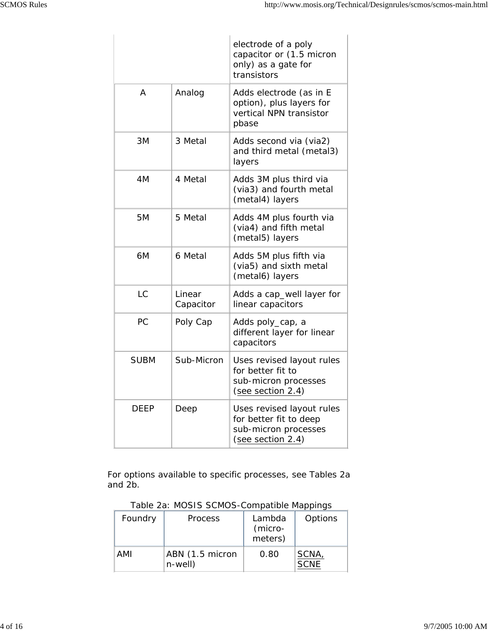|             |                     | electrode of a poly<br>capacitor or (1.5 micron<br>only) as a gate for<br>transistors            |
|-------------|---------------------|--------------------------------------------------------------------------------------------------|
| A           | Analog              | Adds electrode (as in E<br>option), plus layers for<br>vertical NPN transistor<br>pbase          |
| 3M          | 3 Metal             | Adds second via (via2)<br>and third metal (metal3)<br>layers                                     |
| 4M          | 4 Metal             | Adds 3M plus third via<br>(via3) and fourth metal<br>(metal4) layers                             |
| 5M          | 5 Metal             | Adds 4M plus fourth via<br>(via4) and fifth metal<br>(metal5) layers                             |
| 6M          | 6 Metal             | Adds 5M plus fifth via<br>(via5) and sixth metal<br>(metal6) layers                              |
| LC          | Linear<br>Capacitor | Adds a cap_well layer for<br>linear capacitors                                                   |
| РC          | Poly Cap            | Adds poly_cap, a<br>different layer for linear<br>capacitors                                     |
| <b>SUBM</b> | Sub-Micron          | Uses revised layout rules<br>for better fit to<br>sub-micron processes<br>(see section 2.4)      |
| DEEP        | Deep                | Uses revised layout rules<br>for better fit to deep<br>sub-micron processes<br>(see section 2.4) |

For options available to specific processes, see Tables 2a and 2b.

| Table 2a: MOSIS SCMOS-Compatible Mappings |  |
|-------------------------------------------|--|
|                                           |  |

| Foundry | <b>Process</b>                | Lambda<br>(micro-<br>meters) | Options              |
|---------|-------------------------------|------------------------------|----------------------|
| AMI     | ABN (1.5 micron<br>$n$ -well) | 0.80                         | SCNA,<br><b>SCNE</b> |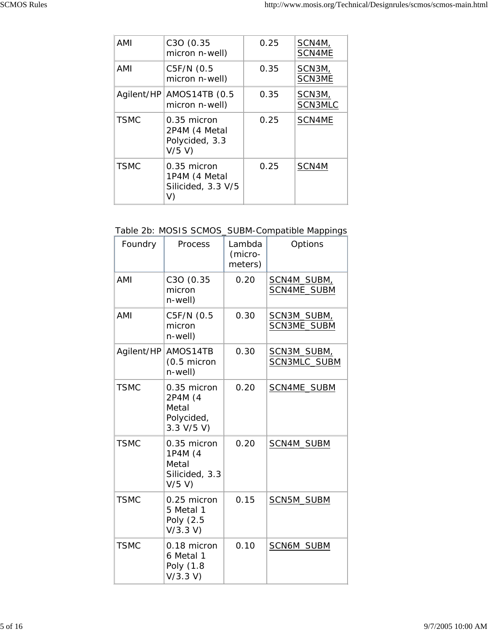| AMI         | C3O (0.35<br>micron n-well)                                  | 0.25 | SCN4M,<br>SCN4ME  |
|-------------|--------------------------------------------------------------|------|-------------------|
| AMI         | C5F/N (0.5<br>micron n-well)                                 | 0.35 | SCN3M,<br>SCN3ME  |
| Agilent/HP  | AMOS14TB (0.5<br>micron n-well)                              | 0.35 | SCN3M,<br>SCN3MLC |
| <b>TSMC</b> | $0.35$ micron<br>2P4M (4 Metal<br>Polycided, 3.3<br>$V/5$ V) | 0.25 | SCN4ME            |
| <b>TSMC</b> | $0.35$ micron<br>1P4M (4 Metal<br>Silicided, 3.3 V/5<br>V)   | 0.25 | SCN4M             |

#### Table 2b: MOSIS SCMOS\_SUBM-Compatible Mappings

| Foundry     | Process                                                       | Lambda<br>(micro-<br>meters) | Options                     |
|-------------|---------------------------------------------------------------|------------------------------|-----------------------------|
| AMI         | C3O (0.35<br>micron<br>$n$ -well)                             | 0.20                         | SCN4M_SUBM,<br>SCN4ME_SUBM  |
| AMI         | C5F/N (0.5<br>micron<br>$n$ -well)                            | 0.30                         | SCN3M_SUBM,<br>SCN3ME_SUBM  |
| Agilent/HP  | AMOS14TB<br>(0.5 micron<br>$n$ -well)                         | 0.30                         | SCN3M_SUBM,<br>SCN3MLC_SUBM |
| <b>TSMC</b> | 0.35 micron<br>2P4M (4<br>Metal<br>Polycided,<br>3.3 V/5 V    | 0.20                         | SCN4ME_SUBM                 |
| <b>TSMC</b> | 0.35 micron<br>1P4M (4<br>Metal<br>Silicided, 3.3<br>$V/5$ V) | 0.20                         | SCN4M_SUBM                  |
| <b>TSMC</b> | 0.25 micron<br>5 Metal 1<br>Poly (2.5<br>V/3.3 V              | 0.15                         | SCN5M_SUBM                  |
| <b>TSMC</b> | 0.18 micron<br>6 Metal 1<br>Poly (1.8<br>V/3.3 V)             | 0.10                         | SCN6M_SUBM                  |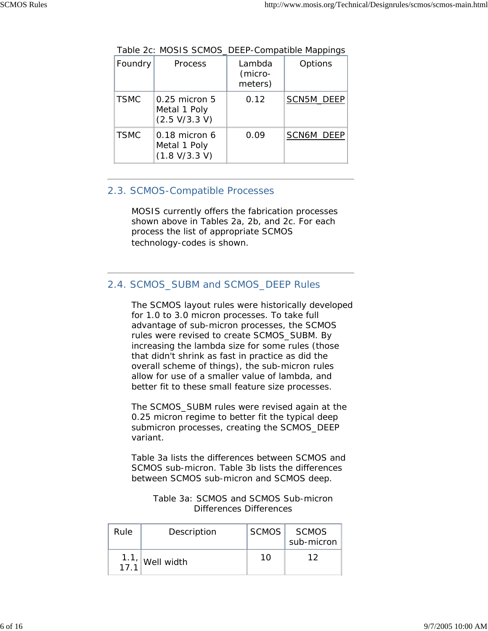| Foundry     | <b>Process</b>                                     | Lambda<br>(micro-<br>meters) | Options           |
|-------------|----------------------------------------------------|------------------------------|-------------------|
| <b>TSMC</b> | $0.25$ micron $5$<br>Metal 1 Poly<br>(2.5 V/3.3 V) | 0.12                         | SCN5M_DEEP        |
| <b>TSMC</b> | $0.18$ micron 6<br>Metal 1 Poly<br>(1.8 V/3.3 V)   | 0.09                         | <b>SCN6M_DEEP</b> |

Table 2c: MOSIS SCMOS\_DEEP-Compatible Mappings

#### 2.3. SCMOS-Compatible Processes

MOSIS currently offers the fabrication processes shown above in Tables 2a, 2b, and 2c. For each process the list of appropriate SCMOS technology-codes is shown.

#### 2.4. SCMOS\_SUBM and SCMOS\_DEEP Rules

The SCMOS layout rules were historically developed for 1.0 to 3.0 micron processes. To take full advantage of sub-micron processes, the SCMOS rules were revised to create SCMOS\_SUBM. By increasing the lambda size for some rules (those that didn't shrink as fast in practice as did the overall scheme of things), the sub-micron rules allow for use of a smaller value of lambda, and better fit to these small feature size processes.

The SCMOS\_SUBM rules were revised again at the 0.25 micron regime to better fit the typical deep submicron processes, creating the SCMOS\_DEEP variant.

Table 3a lists the differences between SCMOS and SCMOS sub-micron. Table 3b lists the differences between SCMOS sub-micron and SCMOS deep.

| Table 3a: SCMOS and SCMOS Sub-micron |
|--------------------------------------|
| Differences Differences              |

| Rule | Description                                                    | SCMOS <sup> </sup> | SCMOS<br>sub-micron |
|------|----------------------------------------------------------------|--------------------|---------------------|
|      | $\begin{array}{c c} 1.1, \hline 1.7, 1 \end{array}$ Well width | 10                 | 1 2                 |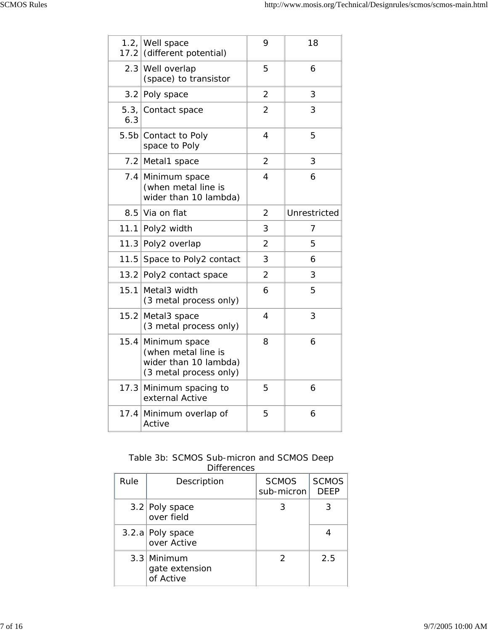|      | 1.2, Well space<br>17.2 (different potential)                                                | 9              | 18           |
|------|----------------------------------------------------------------------------------------------|----------------|--------------|
|      | 2.3 Well overlap<br>(space) to transistor                                                    | 5              | 6            |
|      | 3.2 Poly space                                                                               | $\overline{2}$ | 3            |
| 6.3  | 5.3, Contact space                                                                           | $\overline{2}$ | 3            |
|      | 5.5b Contact to Poly<br>space to Poly                                                        | 4              | 5            |
| 7.2  | Metal1 space                                                                                 | 2              | 3            |
|      | 7.4 Minimum space<br>(when metal line is<br>wider than 10 lambda)                            | $\overline{4}$ | 6            |
|      | 8.5 Via on flat                                                                              | $\overline{2}$ | Unrestricted |
|      | 11.1 Poly2 width                                                                             | 3              | 7            |
|      | 11.3 Poly2 overlap                                                                           | $\overline{2}$ | 5            |
|      | 11.5 Space to Poly2 contact                                                                  | 3              | 6            |
|      | 13.2 Poly2 contact space                                                                     | $\overline{2}$ | 3            |
| 15.1 | Metal3 width<br>(3 metal process only)                                                       | 6              | 5            |
|      | 15.2 Metal3 space<br>(3 metal process only)                                                  | $\overline{4}$ | 3            |
|      | 15.4 Minimum space<br>(when metal line is<br>wider than 10 lambda)<br>(3 metal process only) | 8              | 6            |
| 17.3 | Minimum spacing to<br>external Active                                                        | 5              | 6            |
| 17.4 | Minimum overlap of<br>Active                                                                 | 5              | 6            |

#### Table 3b: SCMOS Sub-micron and SCMOS Deep **Differences**

| Rule | Description                                  | <b>SCMOS</b><br>sub-micron | <b>SCMOS</b><br><b>DEEP</b> |
|------|----------------------------------------------|----------------------------|-----------------------------|
|      | 3.2 Poly space<br>over field                 | З                          | 3                           |
|      | 3.2.a Poly space<br>over Active              |                            |                             |
|      | $3.3$ Minimum<br>gate extension<br>of Active |                            | 2.5                         |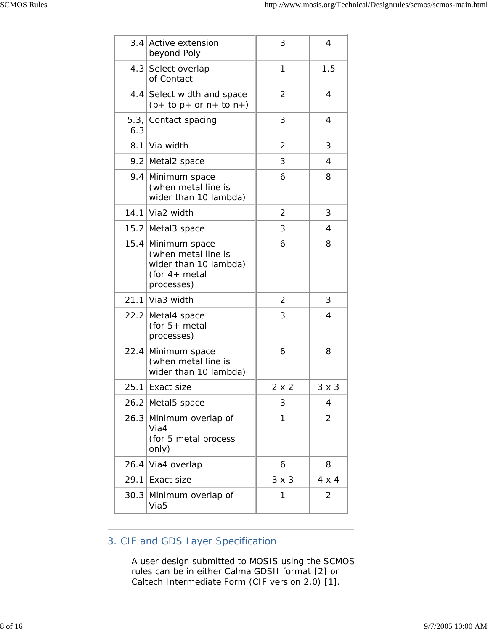| 3.4  | Active extension                                                                                    | 3            | 4            |
|------|-----------------------------------------------------------------------------------------------------|--------------|--------------|
|      | beyond Poly                                                                                         |              |              |
|      | 4.3 Select overlap<br>of Contact                                                                    | 1            | 1.5          |
|      | 4.4 Select width and space<br>$(p+ to p+ or n+ to n+)$                                              | 2            | 4            |
| 6.3  | 5.3, Contact spacing                                                                                | 3            | 4            |
| 8.1  | Via width                                                                                           | 2            | 3            |
|      | 9.2 Metal2 space                                                                                    | 3            | 4            |
|      | 9.4 Minimum space<br>(when metal line is<br>wider than 10 lambda)                                   | 6            | 8            |
|      | 14.1 Via2 width                                                                                     | 2            | 3            |
|      | 15.2 Metal3 space                                                                                   | 3            | 4            |
|      | 15.4 Minimum space<br>(when metal line is<br>wider than 10 lambda)<br>(for $4+$ metal<br>processes) | 6            | 8            |
|      | 21.1 Via3 width                                                                                     | 2            | 3            |
|      | 22.2 Metal4 space<br>(for $5+$ metal<br>processes)                                                  | 3            | 4            |
| 22.4 | Minimum space<br>(when metal line is<br>wider than 10 lambda)                                       | 6            | 8            |
|      | 25.1 Exact size                                                                                     | 2 x 2        | $3 \times 3$ |
|      | 26.2 Metal5 space                                                                                   | 3            | 4            |
| 26.3 | Minimum overlap of<br>Via4<br>(for 5 metal process<br>only)                                         | 1            | 2            |
| 26.4 | Via4 overlap                                                                                        | 6            | 8            |
| 29.1 | Exact size                                                                                          | $3 \times 3$ | $4 \times 4$ |
| 30.3 | Minimum overlap of<br>Via <sub>5</sub>                                                              | 1            | 2            |
|      |                                                                                                     |              |              |

### 3. CIF and GDS Layer Specification

A user design submitted to MOSIS using the SCMOS rules can be in either Calma GDSII format [2] or Caltech Intermediate Form (CIF version 2.0) [1].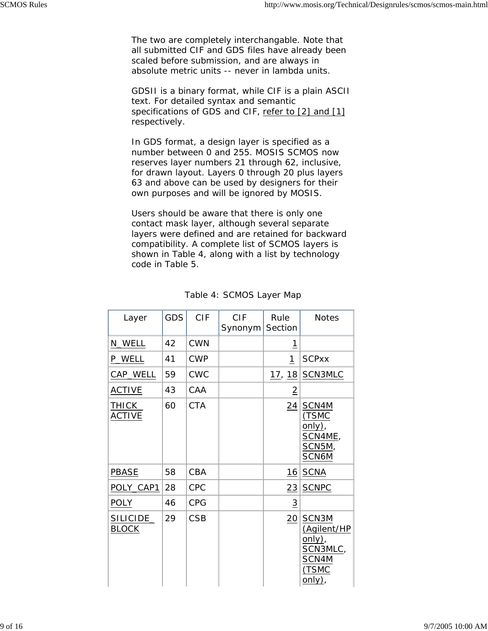The two are completely interchangable. Note that all submitted CIF and GDS files have already been scaled before submission, and are always in absolute metric units -- never in lambda units.

GDSII is a binary format, while CIF is a plain ASCII text. For detailed syntax and semantic specifications of GDS and CIF, refer to [2] and [1] respectively.

In GDS format, a design layer is specified as a number between 0 and 255. MOSIS SCMOS now reserves layer numbers 21 through 62, inclusive, for drawn layout. Layers 0 through 20 plus layers 63 and above can be used by designers for their own purposes and will be ignored by MOSIS.

Users should be aware that there is only one contact mask layer, although several separate layers were defined and are retained for backward compatibility. A complete list of SCMOS layers is shown in Table 4, along with a list by technology code in Table 5.

| Layer                         | <b>GDS</b> | <b>CIF</b> | <b>CIF</b><br>Synonym | Rule<br>Section | <b>Notes</b>                                                              |
|-------------------------------|------------|------------|-----------------------|-----------------|---------------------------------------------------------------------------|
| N_WELL                        | 42         | <b>CWN</b> |                       | <u> 1</u>       |                                                                           |
| <b>P_WELL</b>                 | 41         | <b>CWP</b> |                       | 1               | <b>SCPxx</b>                                                              |
| CAP_WELL                      | 59         | <b>CWC</b> |                       |                 | 17, 18 SCN3MLC                                                            |
| <b>ACTIVE</b>                 | 43         | CAA        |                       | $\overline{2}$  |                                                                           |
| <u>THICK</u><br><b>ACTIVE</b> | 60         | <b>CTA</b> |                       | $\sqrt{24}$     | SCN4M<br>(TSMC<br>only),<br>SCN4ME,<br>SCN5M,<br>SCN6M                    |
| <b>PBASE</b>                  | 58         | CBA        |                       |                 | <u>16 SCNA</u>                                                            |
| POLY_CAP1                     | 28         | <b>CPC</b> |                       | $\overline{23}$ | <b>SCNPC</b>                                                              |
| <b>POLY</b>                   | 46         | <b>CPG</b> |                       | $\overline{3}$  |                                                                           |
| SILICIDE_<br><b>BLOCK</b>     | 29         | <b>CSB</b> |                       | 20 <sup>2</sup> | SCN3M<br>(Agilent/HP<br>only),<br>SCN3MLC,<br>SCN4M<br>(TSMC<br>$only)$ , |

#### Table 4: SCMOS Layer Map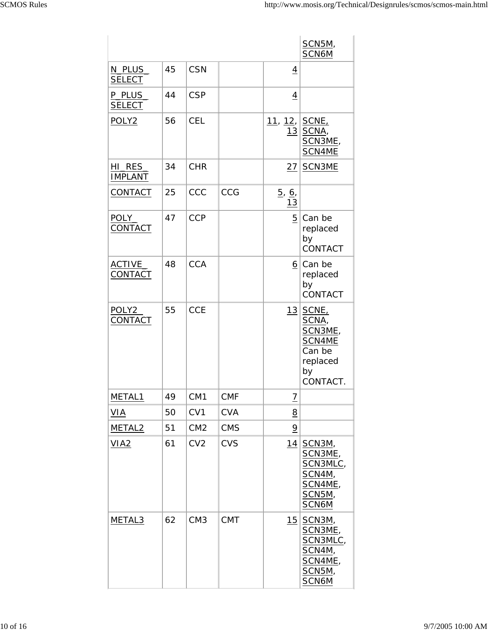|                          |    |                 |            |                          | <b>SCN5M,</b><br>SCN6M                                                      |
|--------------------------|----|-----------------|------------|--------------------------|-----------------------------------------------------------------------------|
| N_PLUS_<br><b>SELECT</b> | 45 | <b>CSN</b>      |            | $\overline{4}$           |                                                                             |
| P_PLUS<br><b>SELECT</b>  | 44 | <b>CSP</b>      |            | $\overline{4}$           |                                                                             |
| POLY <sub>2</sub>        | 56 | <b>CEL</b>      |            | 11, 12, SCNE,<br>13      | SCNA,<br>SCN3ME,<br>SCN4ME                                                  |
| HI_RES<br><b>IMPLANT</b> | 34 | <b>CHR</b>      |            | <u>27</u>                | SCN3ME                                                                      |
| CONTACT                  | 25 | CCC             | CCG        | $\frac{5}{6}$ , 6,<br>13 |                                                                             |
| POLY_<br>CONTACT         | 47 | <b>CCP</b>      |            | $5\phantom{.}$           | Can be<br>replaced<br>by<br>CONTACT                                         |
| <b>ACTIVE</b><br>CONTACT | 48 | <b>CCA</b>      |            |                          | 6 Can be<br>replaced<br>by<br>CONTACT                                       |
| POLY2<br>CONTACT         | 55 | <b>CCE</b>      |            | 13                       | SCNE,<br>SCNA,<br>SCN3ME,<br>SCN4ME<br>Can be<br>replaced<br>by<br>CONTACT. |
| METAL1                   | 49 | CM <sub>1</sub> | <b>CMF</b> | $\overline{1}$           |                                                                             |
| VIA                      | 50 | CV1             | <b>CVA</b> | 8                        |                                                                             |
| METAL <sub>2</sub>       | 51 | CM <sub>2</sub> | <b>CMS</b> | $\overline{9}$           |                                                                             |
| VIA2                     | 61 | CV <sub>2</sub> | <b>CVS</b> | 14                       | SCN3M,<br>SCN3ME,<br>SCN3MLC,<br>SCN4M,<br>SCN4ME,<br>SCN5M,<br>SCN6M       |
| METAL3                   | 62 | CM <sub>3</sub> | <b>CMT</b> | 15                       | SCN3M,<br>SCN3ME,<br>SCN3MLC,<br>SCN4M,<br>SCN4ME,<br>SCN5M,<br>SCN6M       |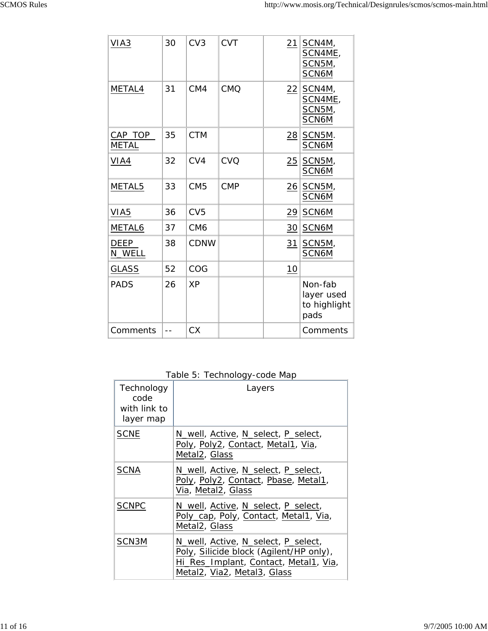| VIA3                     | 30   | CV <sub>3</sub> | <b>CVT</b> | 21              | SCN4M,<br>SCN4ME,<br>SCN5M,<br>SCN6M          |
|--------------------------|------|-----------------|------------|-----------------|-----------------------------------------------|
| METAL4                   | 31   | CM4             | <b>CMQ</b> | $\sqrt{22}$     | SCN4M,<br>SCN4ME,<br>SCN5M,<br>SCN6M          |
| CAP_TOP_<br><b>METAL</b> | 35   | <b>CTM</b>      |            | $\overline{28}$ | SCN5M.<br>SCN6M                               |
| VIA4                     | 32   | CV4             | CVQ        | $\overline{25}$ | SCN5M,<br>SCN6M                               |
| METAL5                   | 33   | CM <sub>5</sub> | <b>CMP</b> | 26              | SCN5M,<br>SCN6M                               |
| VIA <sub>5</sub>         | 36   | CV <sub>5</sub> |            | $\frac{29}{2}$  | SCN6M                                         |
| METAL6                   | 37   | CM <sub>6</sub> |            | 30              | SCN6M                                         |
| DEEP<br>N_WELL           | 38   | <b>CDNW</b>     |            | 31              | SCN5M,<br>SCN6M                               |
| <b>GLASS</b>             | 52   | COG             |            | 10              |                                               |
| <b>PADS</b>              | 26   | <b>XP</b>       |            |                 | Non-fab<br>layer used<br>to highlight<br>pads |
| Comments                 | $-1$ | <b>CX</b>       |            |                 | Comments                                      |

Table 5: Technology-code Map

| Technology<br>code<br>with link to<br>layer map | Layers                                                                                                                                                 |
|-------------------------------------------------|--------------------------------------------------------------------------------------------------------------------------------------------------------|
| <b>SCNE</b>                                     | N_well, Active, N_select, P_select,<br>Poly, Poly2, Contact, Metal1, Via,<br>Metal <sub>2</sub> , Glass                                                |
| <b>SCNA</b>                                     | N_well, Active, N_select, P_select,<br>Poly, Poly2, Contact, Pbase, Metal1,<br>Via, Metal2, Glass                                                      |
| <b>SCNPC</b>                                    | N_well, Active, N_select, P_select,<br>Poly_cap, Poly, Contact, Metal1, Via,<br>Metal <sub>2</sub> , Glass                                             |
| SCN <sub>3</sub> M                              | N_well, Active, N_select, P_select,<br>Poly, Silicide block (Agilent/HP only),<br>Hi_Res_Implant, Contact, Metal1, Via,<br>Metal2, Via2, Metal3, Glass |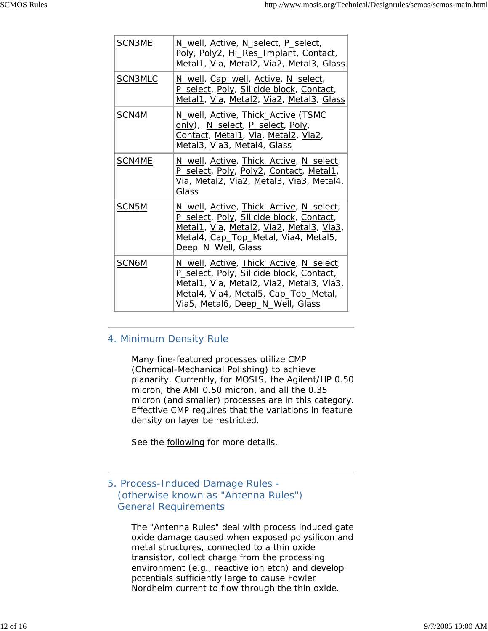| SCN3ME            | N_well, Active, N_select, P_select,<br>Poly, Poly2, Hi_Res_Implant, Contact,<br>Metal1, Via, Metal2, Via2, Metal3, Glass                                                                                    |
|-------------------|-------------------------------------------------------------------------------------------------------------------------------------------------------------------------------------------------------------|
| SCN3MLC           | N_well, Cap_well, Active, N_select,<br>P_select, Poly, Silicide block, Contact,<br>Metal1, Via, Metal2, Via2, Metal3, Glass                                                                                 |
| SCN4M             | N_well, Active, Thick_Active (TSMC<br>only), N_select, P_select, Poly,<br>Contact, Metal1, Via, Metal2, Via2,<br>Metal3, Via3, Metal4, Glass                                                                |
| SCN4ME            | N_well, Active, Thick_Active, N_select,<br>P_select, Poly, Poly2, Contact, Metal1,<br>Via, Metal2, Via2, Metal3, Via3, Metal4,<br>Glass                                                                     |
| SCN <sub>5M</sub> | N_well, Active, Thick_Active, N_select,<br>P_select, Poly, Silicide block, Contact,<br>Metal1, Via, Metal2, Via2, Metal3, Via3,<br>Metal4, Cap_Top_Metal, Via4, Metal5,<br>Deep_N_Well, Glass               |
| SCN6M             | N_well, Active, Thick_Active, N_select,<br>P_select, Poly, Silicide block, Contact,<br>Metal1, Via, Metal2, Via2, Metal3, Via3,<br>Metal4, Via4, Metal5, Cap_Top_Metal,<br>Via5, Metal6, Deep_N_Well, Glass |

#### 4. Minimum Density Rule

Many fine-featured processes utilize CMP (Chemical-Mechanical Polishing) to achieve planarity. Currently, for MOSIS, the Agilent/HP 0.50 micron, the AMI 0.50 micron, and all the 0.35 micron (and smaller) processes are in this category. Effective CMP requires that the variations in feature density on layer be restricted.

See the **following** for more details.

5. Process-Induced Damage Rules - (otherwise known as "Antenna Rules") General Requirements

> The "Antenna Rules" deal with process induced gate oxide damage caused when exposed polysilicon and metal structures, connected to a thin oxide transistor, collect charge from the processing environment (e.g., reactive ion etch) and develop potentials sufficiently large to cause Fowler Nordheim current to flow through the thin oxide.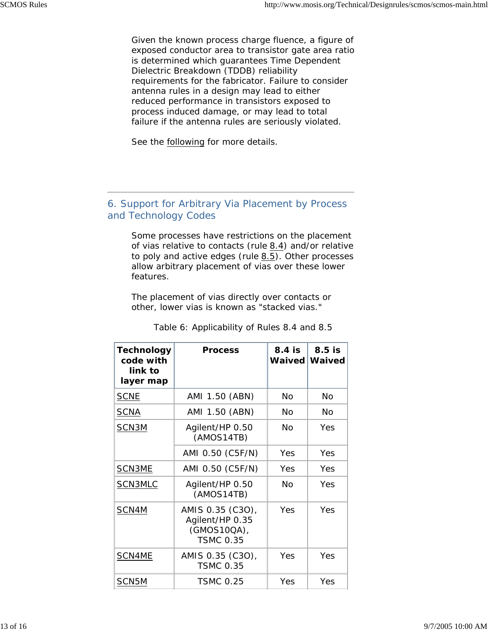Given the known process charge fluence, a figure of exposed conductor area to transistor gate area ratio is determined which guarantees Time Dependent Dielectric Breakdown (TDDB) reliability requirements for the fabricator. Failure to consider antenna rules in a design may lead to either reduced performance in transistors exposed to process induced damage, or may lead to total failure if the antenna rules are seriously violated.

See the following for more details.

#### 6. Support for Arbitrary Via Placement by Process and Technology Codes

Some processes have restrictions on the placement of vias relative to contacts (rule  $8.4$ ) and/or relative to poly and active edges (rule  $8.5$ ). Other processes allow arbitrary placement of vias over these lower features.

The placement of vias directly over contacts or other, lower vias is known as "stacked vias."

| <b>Technology</b><br>code with<br>link to<br>layer map | <b>Process</b>                                                         | 8.4 is<br><b>Waived</b> | $8.5$ is<br>Waived |
|--------------------------------------------------------|------------------------------------------------------------------------|-------------------------|--------------------|
| <b>SCNE</b>                                            | AMI 1.50 (ABN)                                                         | No                      | No                 |
| <b>SCNA</b>                                            | AMI 1.50 (ABN)                                                         | No                      | Nο                 |
| SCN3M                                                  | Agilent/HP 0.50<br>(AMOS14TB)                                          | Nο                      | Yes                |
|                                                        | AMI 0.50 (C5F/N)                                                       | Yes                     | Yes                |
| SCN3ME                                                 | AMI 0.50 (C5F/N)                                                       | Yes                     | Yes                |
| SCN3MLC                                                | Agilent/HP 0.50<br>(AMOS14TB)                                          | Nο                      | Yes                |
| SCN4M                                                  | AMIS 0.35 (C3O),<br>Agilent/HP 0.35<br>(GMOS10QA),<br><b>TSMC 0.35</b> | Yes                     | Yes                |
| SCN4ME                                                 | AMIS 0.35 (C3O),<br><b>TSMC 0.35</b>                                   | Yes                     | Yes                |
| SCN5M                                                  | <b>TSMC 0.25</b>                                                       | Yes                     | Yes                |

Table 6: Applicability of Rules 8.4 and 8.5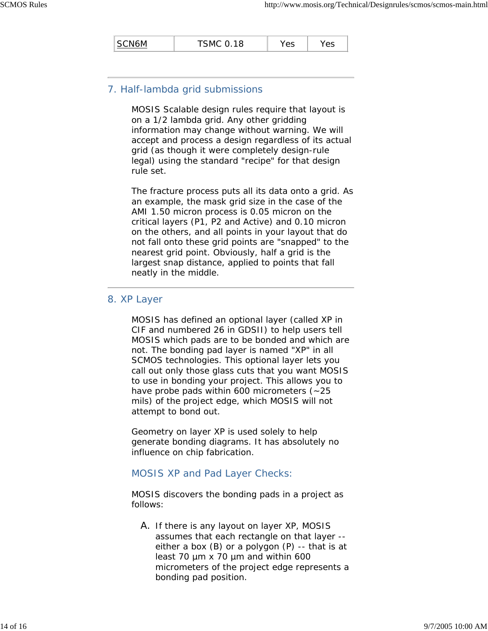| SCN6M | <b>TSMC 0.18</b> | Yes | 'es |
|-------|------------------|-----|-----|
|       |                  |     |     |

#### 7. Half-lambda grid submissions

MOSIS Scalable design rules require that layout is on a 1/2 lambda grid. Any other gridding information may change without warning. We will accept and process a design regardless of its actual grid (as though it were completely design-rule legal) using the standard "recipe" for that design rule set.

The fracture process puts all its data onto a grid. As an example, the mask grid size in the case of the AMI 1.50 micron process is 0.05 micron on the critical layers (P1, P2 and Active) and 0.10 micron on the others, and all points in your layout that do not fall onto these grid points are "snapped" to the nearest grid point. Obviously, half a grid is the largest snap distance, applied to points that fall neatly in the middle.

#### 8. XP Layer

MOSIS has defined an optional layer (called XP in CIF and numbered 26 in GDSII) to help users tell MOSIS which pads are to be bonded and which are not. The bonding pad layer is named "XP" in all SCMOS technologies. This optional layer lets you call out only those glass cuts that you want MOSIS to use in bonding your project. This allows you to have probe pads within 600 micrometers  $(-25)$ mils) of the project edge, which MOSIS will not attempt to bond out.

Geometry on layer XP is used solely to help generate bonding diagrams. It has absolutely no influence on chip fabrication.

#### MOSIS XP and Pad Layer Checks:

MOSIS discovers the bonding pads in a project as follows:

A. If there is any layout on layer XP, MOSIS assumes that each rectangle on that layer - either a box (B) or a polygon (P) -- that is at least 70 µm x 70 µm and within 600 micrometers of the project edge represents a bonding pad position.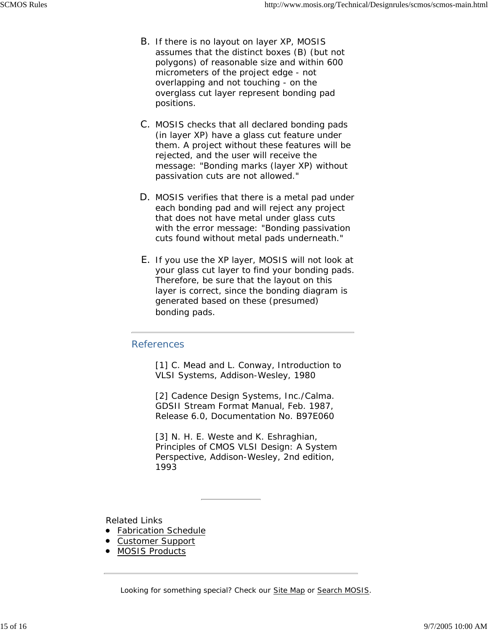- B. If there is no layout on layer XP, MOSIS assumes that the distinct boxes (B) (but not polygons) of reasonable size and within 600 micrometers of the project edge - not overlapping and not touching - on the overglass cut layer represent bonding pad positions.
- C. MOSIS checks that all declared bonding pads (in layer XP) have a glass cut feature under them. A project without these features will be rejected, and the user will receive the message: "Bonding marks (layer XP) without passivation cuts are not allowed."
- D. MOSIS verifies that there is a metal pad under each bonding pad and will reject any project that does not have metal under glass cuts with the error message: "Bonding passivation cuts found without metal pads underneath."
- E. If you use the XP layer, MOSIS will not look at your glass cut layer to find your bonding pads. Therefore, be sure that the layout on this layer is correct, since the bonding diagram is generated based on these (presumed) bonding pads.

#### References

[1] C. Mead and L. Conway, *Introduction to VLSI Systems*, Addison-Wesley, 1980

[2] Cadence Design Systems, Inc./Calma. *GDSII Stream Format Manual*, Feb. 1987, Release 6.0, Documentation No. B97E060

[3] N. H. E. Weste and K. Eshraghian, *Principles of CMOS VLSI Design: A System Perspective*, Addison-Wesley, 2nd edition, 1993

Related Links

- **•** Fabrication Schedule
- Customer Support
- **MOSIS Products**